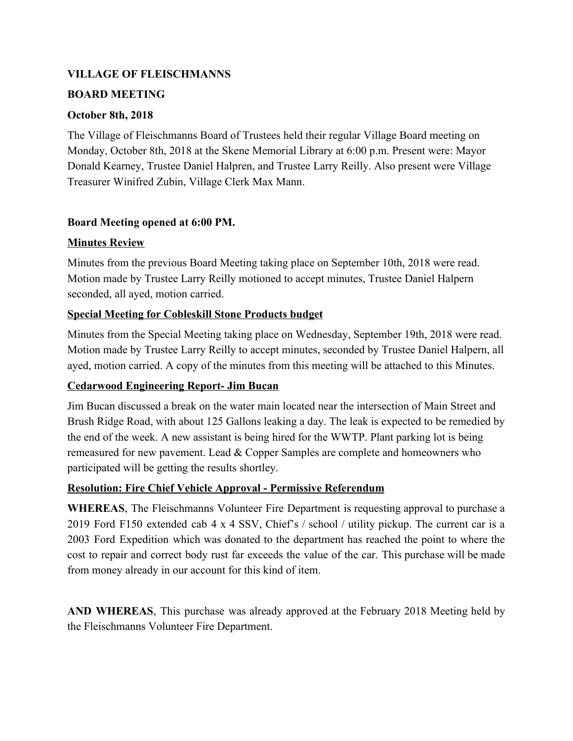## **VILLAGE OF FLEISCHMANNS**

### **BOARD MEETING**

### **October 8th, 2018**

The Village of Fleischmanns Board of Trustees held their regular Village Board meeting on Monday, October 8th, 2018 at the Skene Memorial Library at 6:00 p.m. Present were: Mayor Donald Kearney, Trustee Daniel Halpren, and Trustee Larry Reilly. Also present were Village Treasurer Winifred Zubin, Village Clerk Max Mann.

## **Board Meeting opened at 6:00 PM.**

### **Minutes Review**

Minutes from the previous Board Meeting taking place on September 10th, 2018 were read. Motion made by Trustee Larry Reilly motioned to accept minutes, Trustee Daniel Halpern seconded, all ayed, motion carried.

## **Special Meeting for Cobleskill Stone Products budget**

Minutes from the Special Meeting taking place on Wednesday, September 19th, 2018 were read. Motion made by Trustee Larry Reilly to accept minutes, seconded by Trustee Daniel Halpern, all ayed, motion carried. A copy of the minutes from this meeting will be attached to this Minutes.

## **Cedarwood Engineering Report- Jim Bucan**

Jim Bucan discussed a break on the water main located near the intersection of Main Street and Brush Ridge Road, with about 125 Gallons leaking a day. The leak is expected to be remedied by the end of the week. A new assistant is being hired for the WWTP. Plant parking lot is being remeasured for new pavement. Lead & Copper Samples are complete and homeowners who participated will be getting the results shortley.

## **Resolution: Fire Chief Vehicle Approval - Permissive Referendum**

**WHEREAS**, The Fleischmanns Volunteer Fire Department is requesting approval to purchase a 2019 Ford F150 extended cab 4 x 4 SSV, Chief's / school / utility pickup. The current car is a 2003 Ford Expedition which was donated to the department has reached the point to where the cost to repair and correct body rust far exceeds the value of the car. This purchase will be made from money already in our account for this kind of item.

**AND WHEREAS**, This purchase was already approved at the February 2018 Meeting held by the Fleischmanns Volunteer Fire Department.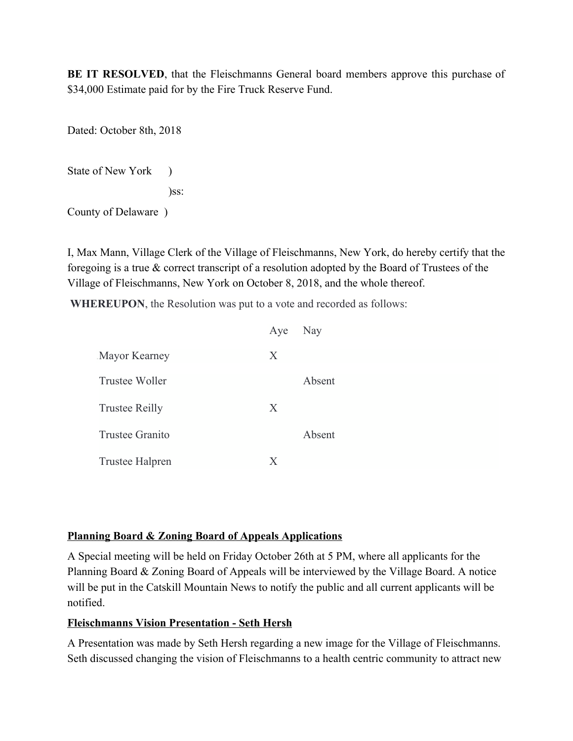**BE IT RESOLVED**, that the Fleischmanns General board members approve this purchase of \$34,000 Estimate paid for by the Fire Truck Reserve Fund.

Dated: October 8th, 2018

State of New York )

)ss:

County of Delaware )

I, Max Mann, Village Clerk of the Village of Fleischmanns, New York, do hereby certify that the foregoing is a true & correct transcript of a resolution adopted by the Board of Trustees of the Village of Fleischmanns, New York on October 8, 2018, and the whole thereof.

**WHEREUPON**, the Resolution was put to a vote and recorded as follows:

|                        | Aye | Nay    |
|------------------------|-----|--------|
| Mayor Kearney          | X   |        |
| <b>Trustee Woller</b>  |     | Absent |
| <b>Trustee Reilly</b>  | X   |        |
| Trustee Granito        |     | Absent |
| <b>Trustee Halpren</b> | X   |        |

#### **Planning Board & Zoning Board of Appeals Applications**

A Special meeting will be held on Friday October 26th at 5 PM, where all applicants for the Planning Board & Zoning Board of Appeals will be interviewed by the Village Board. A notice will be put in the Catskill Mountain News to notify the public and all current applicants will be notified.

#### **Fleischmanns Vision Presentation - Seth Hersh**

A Presentation was made by Seth Hersh regarding a new image for the Village of Fleischmanns. Seth discussed changing the vision of Fleischmanns to a health centric community to attract new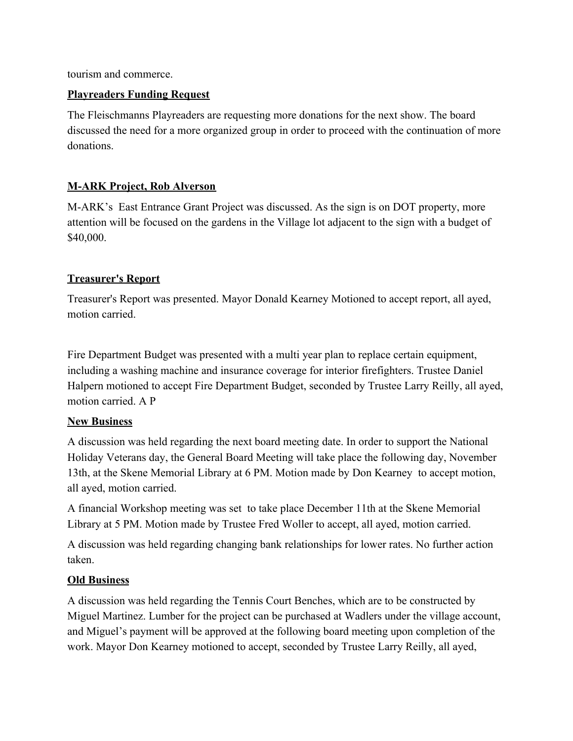tourism and commerce.

## **Playreaders Funding Request**

The Fleischmanns Playreaders are requesting more donations for the next show. The board discussed the need for a more organized group in order to proceed with the continuation of more donations.

# **M-ARK Project, Rob Alverson**

M-ARK's East Entrance Grant Project was discussed. As the sign is on DOT property, more attention will be focused on the gardens in the Village lot adjacent to the sign with a budget of \$40,000.

# **Treasurer's Report**

Treasurer's Report was presented. Mayor Donald Kearney Motioned to accept report, all ayed, motion carried.

Fire Department Budget was presented with a multi year plan to replace certain equipment, including a washing machine and insurance coverage for interior firefighters. Trustee Daniel Halpern motioned to accept Fire Department Budget, seconded by Trustee Larry Reilly, all ayed, motion carried. A P

# **New Business**

A discussion was held regarding the next board meeting date. In order to support the National Holiday Veterans day, the General Board Meeting will take place the following day, November 13th, at the Skene Memorial Library at 6 PM. Motion made by Don Kearney to accept motion, all ayed, motion carried.

A financial Workshop meeting was set to take place December 11th at the Skene Memorial Library at 5 PM. Motion made by Trustee Fred Woller to accept, all ayed, motion carried.

A discussion was held regarding changing bank relationships for lower rates. No further action taken.

# **Old Business**

A discussion was held regarding the Tennis Court Benches, which are to be constructed by Miguel Martinez. Lumber for the project can be purchased at Wadlers under the village account, and Miguel's payment will be approved at the following board meeting upon completion of the work. Mayor Don Kearney motioned to accept, seconded by Trustee Larry Reilly, all ayed,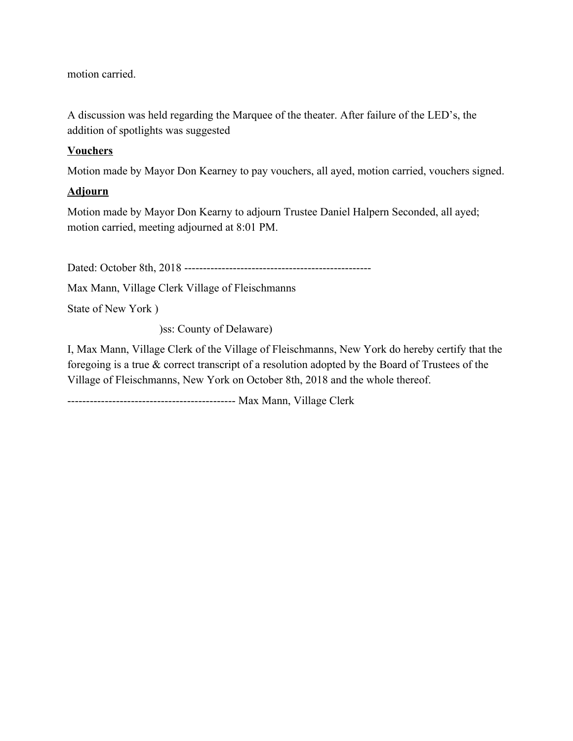motion carried.

A discussion was held regarding the Marquee of the theater. After failure of the LED's, the addition of spotlights was suggested

## **Vouchers**

Motion made by Mayor Don Kearney to pay vouchers, all ayed, motion carried, vouchers signed.

## **Adjourn**

Motion made by Mayor Don Kearny to adjourn Trustee Daniel Halpern Seconded, all ayed; motion carried, meeting adjourned at 8:01 PM.

Dated: October 8th, 2018 --------------------------------------------------

Max Mann, Village Clerk Village of Fleischmanns

State of New York )

)ss: County of Delaware)

I, Max Mann, Village Clerk of the Village of Fleischmanns, New York do hereby certify that the foregoing is a true & correct transcript of a resolution adopted by the Board of Trustees of the Village of Fleischmanns, New York on October 8th, 2018 and the whole thereof.

--------------------------------------------- Max Mann, Village Clerk